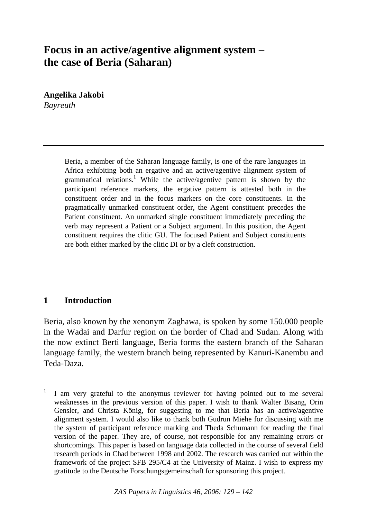# **Focus in an active/agentive alignment system – the case of Beria (Saharan)**

**Angelika Jakobi**  *Bayreuth* 

> Beria, a member of the Saharan language family, is one of the rare languages in Africa exhibiting both an ergative and an active/agentive alignment system of grammatical relations.<sup>1</sup> While the active/agentive pattern is shown by the participant reference markers, the ergative pattern is attested both in the constituent order and in the focus markers on the core constituents. In the pragmatically unmarked constituent order, the Agent constituent precedes the Patient constituent. An unmarked single constituent immediately preceding the verb may represent a Patient or a Subject argument. In this position, the Agent constituent requires the clitic GU. The focused Patient and Subject constituents are both either marked by the clitic DI or by a cleft construction.

### **1 Introduction**

-

Beria, also known by the xenonym Zaghawa, is spoken by some 150.000 people in the Wadai and Darfur region on the border of Chad and Sudan. Along with the now extinct Berti language, Beria forms the eastern branch of the Saharan language family, the western branch being represented by Kanuri-Kanembu and Teda-Daza.

<sup>1</sup> I am very grateful to the anonymus reviewer for having pointed out to me several weaknesses in the previous version of this paper. I wish to thank Walter Bisang, Orin Gensler, and Christa König, for suggesting to me that Beria has an active/agentive alignment system. I would also like to thank both Gudrun Miehe for discussing with me the system of participant reference marking and Theda Schumann for reading the final version of the paper. They are, of course, not responsible for any remaining errors or shortcomings. This paper is based on language data collected in the course of several field research periods in Chad between 1998 and 2002. The research was carried out within the framework of the project SFB 295/C4 at the University of Mainz. I wish to express my gratitude to the Deutsche Forschungsgemeinschaft for sponsoring this project.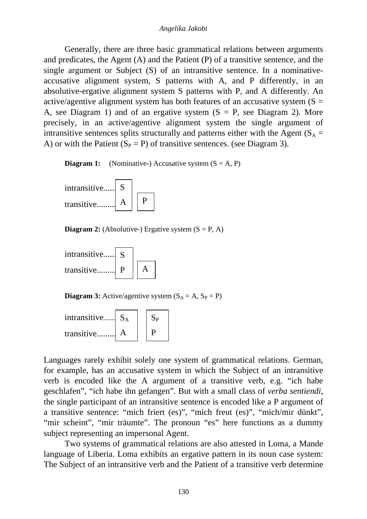Generally, there are three basic grammatical relations between arguments and predicates, the Agent (A) and the Patient (P) of a transitive sentence, and the single argument or Subject (S) of an intransitive sentence. In a nominativeaccusative alignment system, S patterns with A, and P differently, in an absolutive-ergative alignment system S patterns with P, and A differently. An active/agentive alignment system has both features of an accusative system  $(S =$ A, see Diagram 1) and of an ergative system  $(S = P)$ , see Diagram 2). More precisely, in an active/agentive alignment system the single argument of intransitive sentences splits structurally and patterns either with the Agent ( $S_A$  = A) or with the Patient  $(S_P = P)$  of transitive sentences. (see Diagram 3).

**Diagram 1:** (Nominative-) Accusative system  $(S = A, P)$ 



**Diagram 2:** (Absolutive-) Ergative system  $(S = P, A)$ 



**Diagram 3:** Active/agentive system  $(S_A = A, S_P = P)$ 



Languages rarely exhibit solely one system of grammatical relations. German, for example, has an accusative system in which the Subject of an intransitive verb is encoded like the A argument of a transitive verb, e.g. "ich habe geschlafen", "ich habe ihn gefangen". But with a small class of *verba sentiendi*, the single participant of an intransitive sentence is encoded like a P argument of a transitive sentence: "mich friert (es)", "mich freut (es)", "mich/mir dünkt", "mir scheint", "mir träumte". The pronoun "es" here functions as a dummy subject representing an impersonal Agent.

 Two systems of grammatical relations are also attested in Loma, a Mande language of Liberia. Loma exhibits an ergative pattern in its noun case system: The Subject of an intransitive verb and the Patient of a transitive verb determine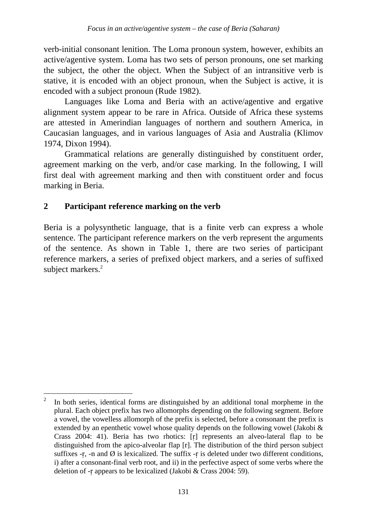verb-initial consonant lenition. The Loma pronoun system, however, exhibits an active/agentive system. Loma has two sets of person pronouns, one set marking the subject, the other the object. When the Subject of an intransitive verb is stative, it is encoded with an object pronoun, when the Subject is active, it is encoded with a subject pronoun (Rude 1982).

 Languages like Loma and Beria with an active/agentive and ergative alignment system appear to be rare in Africa. Outside of Africa these systems are attested in Amerindian languages of northern and southern America, in Caucasian languages, and in various languages of Asia and Australia (Klimov 1974, Dixon 1994).

 Grammatical relations are generally distinguished by constituent order, agreement marking on the verb, and/or case marking. In the following, I will first deal with agreement marking and then with constituent order and focus marking in Beria.

## **2 Participant reference marking on the verb**

-

Beria is a polysynthetic language, that is a finite verb can express a whole sentence. The participant reference markers on the verb represent the arguments of the sentence. As shown in Table 1, there are two series of participant reference markers, a series of prefixed object markers, and a series of suffixed subject markers.<sup>2</sup>

<sup>2</sup> In both series, identical forms are distinguished by an additional tonal morpheme in the plural. Each object prefix has two allomorphs depending on the following segment. Before a vowel, the vowelless allomorph of the prefix is selected, before a consonant the prefix is extended by an epenthetic vowel whose quality depends on the following vowel (Jakobi & Crass 2004: 41). Beria has two rhotics: [r] represents an alveo-lateral flap to be distinguished from the apico-alveolar flap [r]. The distribution of the third person subject suffixes  $-r$ ,  $-n$  and  $\emptyset$  is lexicalized. The suffix  $-r$  is deleted under two different conditions, i) after a consonant-final verb root, and ii) in the perfective aspect of some verbs where the deletion of -r appears to be lexicalized (Jakobi & Crass 2004: 59).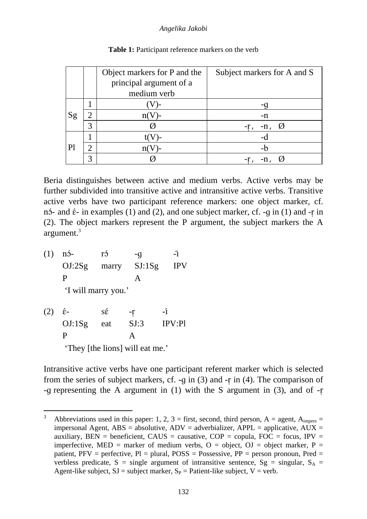#### *Angelika Jakobi*

|    |   | Object markers for P and the | Subject markers for A and S |
|----|---|------------------------------|-----------------------------|
|    |   | principal argument of a      |                             |
|    |   | medium verb                  |                             |
|    |   |                              |                             |
| Sg | ി |                              | -n                          |
|    | 3 |                              | -n,<br>$-r1$                |
| Pl |   |                              | -ባ                          |
|    | ി |                              | -h                          |
|    | 2 |                              |                             |

| <b>Table 1:</b> Participant reference markers on the verb |  |
|-----------------------------------------------------------|--|
|-----------------------------------------------------------|--|

Beria distinguishes between active and medium verbs. Active verbs may be further subdivided into transitive active and intransitive active verbs. Transitive active verbs have two participant reference markers: one object marker, cf. n<sup>2</sup> and  $\epsilon$ - in examples (1) and (2), and one subject marker, cf. -q in (1) and -r in (2). The object markers represent the P argument, the subject markers the A argument.3

(1) n<sup>5</sup>- r<sup>5</sup>  $-g$   $-\bar{I}$  OJ:2Sg marry SJ:1Sg IPV P A

'I will marry you.'

-

(2)  $\acute{\epsilon}$ -  $s\acute{\epsilon}$  -r -í OJ:1Sg eat SJ:3 IPV:Pl P A 'They [the lions] will eat me.'

Intransitive active verbs have one participant referent marker which is selected from the series of subject markers, cf. -g in  $(3)$  and -r in  $(4)$ . The comparison of -q representing the A argument in  $(1)$  with the S argument in  $(3)$ , and of -r

<sup>&</sup>lt;sup>3</sup> Abbreviations used in this paper: 1, 2, 3 = first, second, third person, A = agent,  $A_{\text{impers}}$  = impersonal Agent,  $ABS = absolute$ ,  $ADV = adverbializer$ ,  $APPL = applicable$ ,  $AUX =$ auxiliary, BEN = beneficient, CAUS = causative,  $COP = copula$ ,  $FOC = focus$ ,  $IPV =$ imperfective, MED = marker of medium verbs,  $O =$  object,  $OJ =$  object marker,  $P =$ patient,  $PFV$  = perfective,  $Pl$  = plural,  $POSS$  = Possessive,  $PP$  = person pronoun, Pred = verbless predicate, S = single argument of intransitive sentence,  $S_g$  = singular,  $S_A$  = Agent-like subject,  $SJ =$  subject marker,  $S_P =$  Patient-like subject,  $V =$  verb.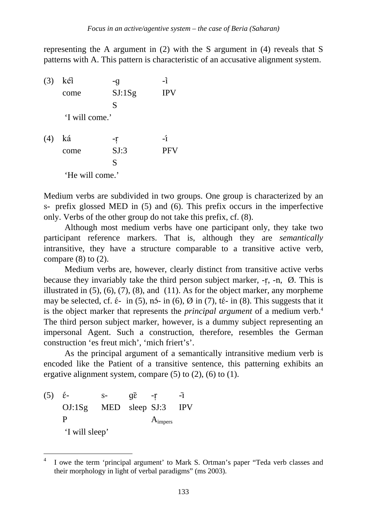representing the A argument in (2) with the S argument in (4) reveals that S patterns with A. This pattern is characteristic of an accusative alignment system.

(3) kéi -g -i come SJ:1Sg IPV S 'I will come.' (4) ká  $-r$  -r -r come SJ:3 PFV S 'He will come.'

Medium verbs are subdivided in two groups. One group is characterized by an s- prefix glossed MED in (5) and (6). This prefix occurs in the imperfective only. Verbs of the other group do not take this prefix, cf. (8).

 Although most medium verbs have one participant only, they take two participant reference markers. That is, although they are *semantically*  intransitive, they have a structure comparable to a transitive active verb, compare  $(8)$  to  $(2)$ .

 Medium verbs are, however, clearly distinct from transitive active verbs because they invariably take the third person subject marker, -r, -n, Ø. This is illustrated in  $(5)$ ,  $(6)$ ,  $(7)$ ,  $(8)$ , and  $(11)$ . As for the object marker, any morpheme may be selected, cf.  $\acute{\epsilon}$ - in (5), n5- in (6),  $\varnothing$  in (7), t $\acute{\epsilon}$ - in (8). This suggests that it is the object marker that represents the *principal argument* of a medium verb.4 The third person subject marker, however, is a dummy subject representing an impersonal Agent. Such a construction, therefore, resembles the German construction 'es freut mich', 'mich friert's'.

 As the principal argument of a semantically intransitive medium verb is encoded like the Patient of a transitive sentence, this patterning exhibits an ergative alignment system, compare  $(5)$  to  $(2)$ ,  $(6)$  to  $(1)$ .

(5)  $\acute{\epsilon}$ -  $s$ -  $q\bar{\epsilon}$  -r  $-\bar{I}$  OJ:1Sg MED sleep SJ:3 IPV P A<sub>impers</sub> 'I will sleep'

 $\overline{a}$ 

<sup>4</sup> I owe the term 'principal argument' to Mark S. Ortman's paper "Teda verb classes and their morphology in light of verbal paradigms" (ms 2003).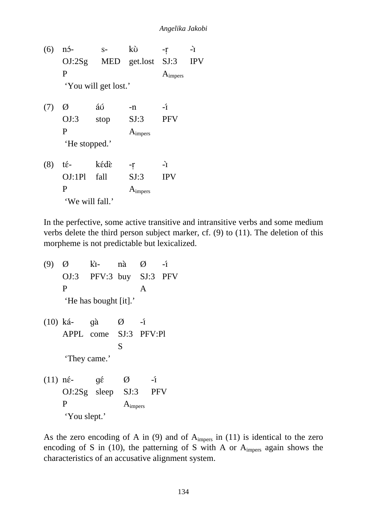(6)  $n5 - s - k\tilde{\upsilon} - r \rightarrow$  OJ:2Sg MED get.lost SJ:3 IPV P A<sub>impers</sub> 'You will get lost.' (7)  $\emptyset$  *á* ú -n -í OJ:3 stop SJ:3 PFV P A<sub>impers</sub> 'He stopped.'  $(8)$  té- kédè -r -r OJ:1Pl fall SJ:3 IPV P A<sub>impers</sub> 'We will fall.'

In the perfective, some active transitive and intransitive verbs and some medium verbs delete the third person subject marker, cf. (9) to (11). The deletion of this morpheme is not predictable but lexicalized.

(9)  $\emptyset$  kì- nà  $\emptyset$  -í OJ:3 PFV:3 buy SJ:3 PFV P A 'He has bought [it].'  $(10)$  ká- gà  $\emptyset$  -í APPL come SJ:3 PFV:Pl S 'They came.' (11)  $n\acute{\epsilon}$   $q\acute{\epsilon}$   $\varnothing$   $-i$  OJ:2Sg sleep SJ:3 PFV P A<sub>impers</sub>

'You slept.'

As the zero encoding of A in  $(9)$  and of A<sub>impers</sub> in  $(11)$  is identical to the zero encoding of S in (10), the patterning of S with A or  $A_{\text{impers}}$  again shows the characteristics of an accusative alignment system.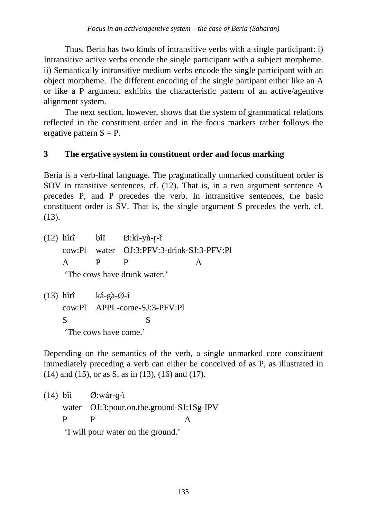Thus, Beria has two kinds of intransitive verbs with a single participant: i) Intransitive active verbs encode the single participant with a subject morpheme. ii) Semantically intransitive medium verbs encode the single participant with an object morpheme. The different encoding of the single partipant either like an A or like a P argument exhibits the characteristic pattern of an active/agentive alignment system.

 The next section, however, shows that the system of grammatical relations reflected in the constituent order and in the focus markers rather follows the ergative pattern  $S = P$ .

## **3 The ergative system in constituent order and focus marking**

Beria is a verb-final language. The pragmatically unmarked constituent order is SOV in transitive sentences, cf. (12). That is, in a two argument sentence A precedes P, and P precedes the verb. In intransitive sentences, the basic constituent order is SV. That is, the single argument S precedes the verb, cf. (13).

 $(12)$  hirî bii Ø:kí-yà-r-ĭ cow:Pl water OJ:3:PFV:3-drink-SJ:3-PFV:Pl A P P A

'The cows have drunk water.'

(13) hirî ká-gà- $\varnothing$ -í cow:Pl APPL-come-SJ:3-PFV:Pl S S 'The cows have come.'

Depending on the semantics of the verb, a single unmarked core constituent immediately preceding a verb can either be conceived of as P, as illustrated in (14) and (15), or as S, as in (13), (16) and (17).

 $(14)$  bii Ø:wár-q-ì water OJ:3:pour.on.the.ground-SJ:1Sg-IPV P P A 'I will pour water on the ground.'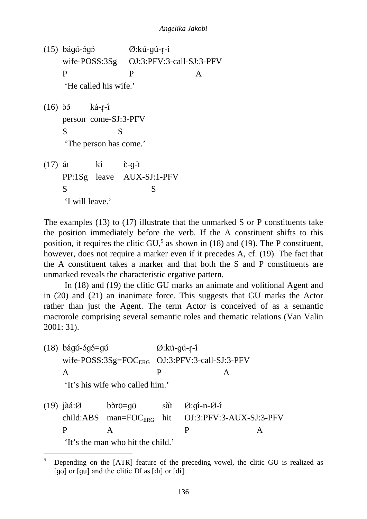$(15)$  bágú-ógó  $\emptyset$ :kú-gú-r-í wife-POSS:3Sg OJ:3:PFV:3-call-SJ:3-PFV P P A 'He called his wife.'  $(16)$   $\delta$ <sup>5</sup> ká-r-í person come-SJ:3-PFV S S 'The person has come.'  $(17)$  ái kí  $\grave{\epsilon}$ -g-ì PP:1Sg leave AUX-SJ:1-PFV S S 'I will leave.'

The examples (13) to (17) illustrate that the unmarked S or P constituents take the position immediately before the verb. If the A constituent shifts to this position, it requires the clitic  $GU<sub>2</sub><sup>5</sup>$  as shown in (18) and (19). The P constituent, however, does not require a marker even if it precedes A, cf. (19). The fact that the A constituent takes a marker and that both the S and P constituents are unmarked reveals the characteristic ergative pattern.

 In (18) and (19) the clitic GU marks an animate and volitional Agent and in (20) and (21) an inanimate force. This suggests that GU marks the Actor rather than just the Agent. The term Actor is conceived of as a semantic macrorole comprising several semantic roles and thematic relations (Van Valin 2001: 31).

 $(18)$  báqú-óqó=qú  $\varnothing$ :kú-qú-r-i wife-POSS:3Sg=FOC<sub>ERG</sub> OJ:3:PFV:3-call-SJ:3-PFV A P A

'It's his wife who called him.'

 $\overline{a}$ 

 $(19)$  jàá: $\emptyset$  bòr $\bar{v}$ =q $\bar{v}$  sài  $\emptyset$ :qí-n- $\emptyset$ -í child:ABS man=FOC<sub>ERG</sub> hit OJ:3:PFV:3-AUX-SJ:3-PFV P A P A 'It's the man who hit the child.'

<sup>5</sup> Depending on the [ATR] feature of the preceding vowel, the clitic GU is realized as  $[g\upsilon]$  or  $[g\upsilon]$  and the clitic DI as  $[d\upsilon]$  or  $[d\upsilon]$ .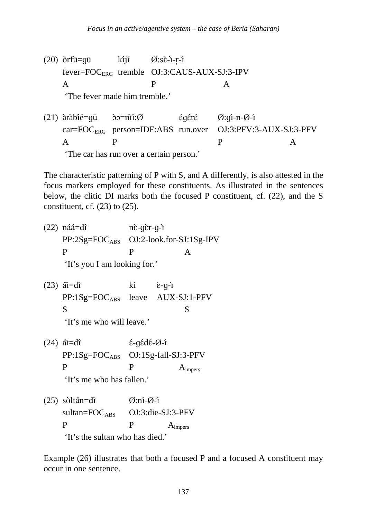$(20)$   $\delta$ rfū=qū kijí Ø:sè-i-r-í fever=FOCERG tremble OJ:3:CAUS-AUX-SJ:3-IPV A P A

'The fever made him tremble.'

(21) arabie=u =n:Ø r Ø:-n-Ø car=FOC<sub>ERG</sub> person=IDF:ABS run.over OJ:3:PFV:3-AUX-SJ:3-PFV A P P A 'The car has run over a certain person.'

The characteristic patterning of P with S, and A differently, is also attested in the focus markers employed for these constituents. As illustrated in the sentences below, the clitic DI marks both the focused P constituent, cf. (22), and the S constituent, cf.  $(23)$  to  $(25)$ .

- $(22)$  náá=dî nè-dèr-d-r PP:2Sg=FOCABS OJ:2-look.for-SJ:1Sg-IPV P P A 'It's you I am looking for.'
- $(23)$   $\tilde{a} = d\hat{b}$   $k\hat{i}$   $\hat{c} q \hat{i}$  PP:1Sg=FOCABS leave AUX-SJ:1-PFV S S

'It's me who will leave.'

 $(24)$   $\tilde{a}$ <u>r</u>=d $\hat{a}$   $\tilde{b}$   $\tilde{c}$  -g $\tilde{c}$ d $\tilde{c}$  - $\tilde{Q}$  - $\tilde{q}$ PP:1Sg=FOC<sub>ABS</sub> OJ:1Sg-fall-SJ:3-PFV  $P$  P  $A_{\text{impers}}$ 

'It's me who has fallen.'

 $(25)$  sùltăn=dì  $\emptyset$ :ní- $\emptyset$ -í sultan=FOC<sub>ABS</sub> OJ:3:die-SJ:3-PFV P P A<sub>impers</sub> 'It's the sultan who has died.'

Example (26) illustrates that both a focused P and a focused A constituent may occur in one sentence.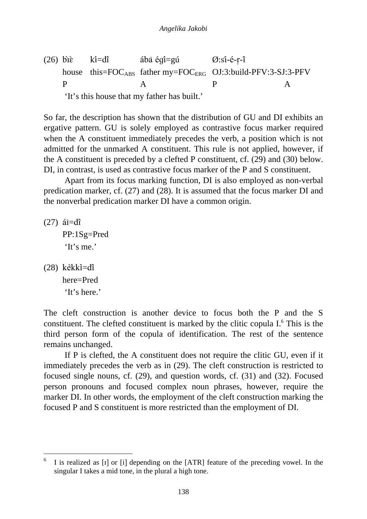(26) bie ki=dî ába égi=gú  $\varnothing$ :si-é-r-i house this= $FOC<sub>ABS</sub>$  father my= $FOC<sub>ERG</sub>$  OJ:3:build-PFV:3-SJ:3-PFV P A P A

'It's this house that my father has built.'

So far, the description has shown that the distribution of GU and DI exhibits an ergative pattern. GU is solely employed as contrastive focus marker required when the A constituent immediately precedes the verb, a position which is not admitted for the unmarked A constituent. This rule is not applied, however, if the A constituent is preceded by a clefted P constituent, cf. (29) and (30) below. DI, in contrast, is used as contrastive focus marker of the P and S constituent.

 Apart from its focus marking function, DI is also employed as non-verbal predication marker, cf. (27) and (28). It is assumed that the focus marker DI and the nonverbal predication marker DI have a common origin.

 $(27)$  ái=dî PP:1Sg=Pred 'It's me.'

(28) kekki=di here=Pred 'It's here.'

 $\overline{a}$ 

The cleft construction is another device to focus both the P and the S constituent. The clefted constituent is marked by the clitic copula I.<sup>6</sup> This is the third person form of the copula of identification. The rest of the sentence remains unchanged.

 If P is clefted, the A constituent does not require the clitic GU, even if it immediately precedes the verb as in (29). The cleft construction is restricted to focused single nouns, cf. (29), and question words, cf. (31) and (32). Focused person pronouns and focused complex noun phrases, however, require the marker DI. In other words, the employment of the cleft construction marking the focused P and S constituent is more restricted than the employment of DI.

<sup>6</sup> I is realized as [I] or [i] depending on the [ATR] feature of the preceding vowel. In the singular I takes a mid tone, in the plural a high tone.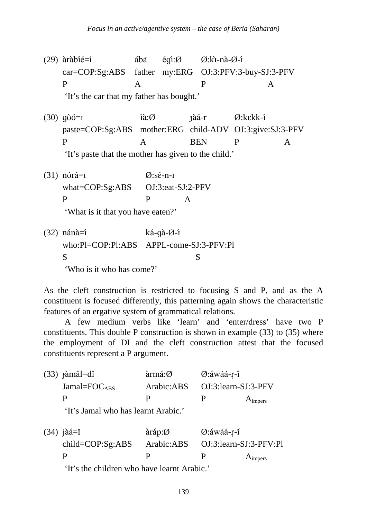(29)  $\text{àthi}\in\mathbb{Z}$  aba éqi:Ø Ø:kì-nà-Ø-í car=COP:Sg:ABS father my:ERG OJ:3:PFV:3-buy-SJ:3-PFV P A P A

'It's the car that my father has bought.'

(30)  $q\tilde{\upsilon}\tilde{\upsilon} = I$   $\hat{\imath}\tilde{\upsilon}\tilde{\upsilon}$   $\hat{\upsilon}$   $\tilde{\upsilon}$   $\tilde{\upsilon}$   $\tilde{\upsilon}$   $\tilde{\upsilon}$   $\tilde{\upsilon}$   $\tilde{\upsilon}$   $\tilde{\upsilon}$   $\tilde{\upsilon}$   $\tilde{\upsilon}$   $\tilde{\upsilon}$   $\tilde{\upsilon}$   $\tilde{\upsilon}$   $\tilde{\upsilon}$   $\tilde{\upsilon}$   $\tilde{\upsilon}$   $\tilde{\upsilon}$   $\tilde{\upsilon$  paste=COP:Sg:ABS mother:ERG child-ADV OJ:3:give:SJ:3-PFV P A BEN P A

'It's paste that the mother has given to the child.'

(31)  $n\acute{\alpha}$ = $\bar{\alpha}$   $\qquad \qquad$   $\qquad \qquad$   $\qquad \qquad$   $\qquad \qquad$   $\qquad \qquad$   $\qquad \qquad$   $\qquad \qquad$   $\qquad \qquad$   $\qquad \qquad$   $\qquad \qquad$   $\qquad \qquad$   $\qquad \qquad$   $\qquad \qquad$   $\qquad \qquad$   $\qquad \qquad$   $\qquad \qquad$   $\qquad \qquad$   $\qquad \qquad$   $\qquad \qquad$   $\qquad \qquad \qquad$   $\qquad \qquad \qquad$   $\qquad$  what=COP:Sg:ABS OJ:3:eat-SJ:2-PFV P P A

'What is it that you have eaten?'

 $(32)$  nánà=í ká-gà-Ø-í who:Pl=COP:Pl:ABS APPL-come-SJ:3-PFV:Pl S S 'Who is it who has come?'

As the cleft construction is restricted to focusing S and P, and as the A constituent is focused differently, this patterning again shows the characteristic features of an ergative system of grammatical relations.

 A few medium verbs like 'learn' and 'enter/dress' have two P constituents. This double P construction is shown in example (33) to (35) where the employment of DI and the cleft construction attest that the focused constituents represent a P argument.

| $(33)$ $\hat{\text{amal}} = d\hat{\text{r}}$ | $\text{armá:}\varnothing$ | $\emptyset$ :áwáá-r-î    |
|----------------------------------------------|---------------------------|--------------------------|
| Jamal= $FOCARS$                              | Arabic:ABS                | $OJ:3:learn-SJ:3-PFV$    |
| P                                            | Ρ                         | P<br>$A_{\text{impers}}$ |

'It's Jamal who has learnt Arabic.'

(34) jàá= $\bar{I}$  aráp: $\emptyset$   $\emptyset$ :áwáá-r-í child=COP:Sg:ABS Arabic:ABS OJ:3:learn-SJ:3-PFV:Pl  $P$  P  $A_{\text{impers}}$ 

'It's the children who have learnt Arabic.'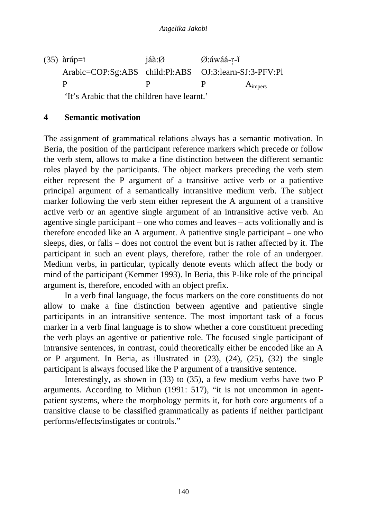(35)  $\text{àráp=1}$  jáà: $\varnothing$   $\varnothing$ :áwáá-r-í Arabic=COP:Sg:ABS child:Pl:ABS OJ:3:learn-SJ:3-PFV:Pl  $P$  P  $A_{\text{impers}}$ 

'It's Arabic that the children have learnt.'

#### **4 Semantic motivation**

The assignment of grammatical relations always has a semantic motivation. In Beria, the position of the participant reference markers which precede or follow the verb stem, allows to make a fine distinction between the different semantic roles played by the participants. The object markers preceding the verb stem either represent the P argument of a transitive active verb or a patientive principal argument of a semantically intransitive medium verb. The subject marker following the verb stem either represent the A argument of a transitive active verb or an agentive single argument of an intransitive active verb. An agentive single participant – one who comes and leaves – acts volitionally and is therefore encoded like an A argument. A patientive single participant – one who sleeps, dies, or falls – does not control the event but is rather affected by it. The participant in such an event plays, therefore, rather the role of an undergoer. Medium verbs, in particular, typically denote events which affect the body or mind of the participant (Kemmer 1993). In Beria, this P-like role of the principal argument is, therefore, encoded with an object prefix.

 In a verb final language, the focus markers on the core constituents do not allow to make a fine distinction between agentive and patientive single participants in an intransitive sentence. The most important task of a focus marker in a verb final language is to show whether a core constituent preceding the verb plays an agentive or patientive role. The focused single participant of intransive sentences, in contrast, could theoretically either be encoded like an A or P argument. In Beria, as illustrated in (23), (24), (25), (32) the single participant is always focused like the P argument of a transitive sentence.

 Interestingly, as shown in (33) to (35), a few medium verbs have two P arguments. According to Mithun (1991: 517), "it is not uncommon in agentpatient systems, where the morphology permits it, for both core arguments of a transitive clause to be classified grammatically as patients if neither participant performs/effects/instigates or controls."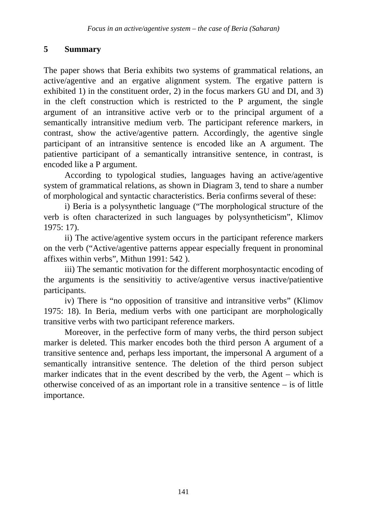# **5 Summary**

The paper shows that Beria exhibits two systems of grammatical relations, an active/agentive and an ergative alignment system. The ergative pattern is exhibited 1) in the constituent order, 2) in the focus markers GU and DI, and 3) in the cleft construction which is restricted to the P argument, the single argument of an intransitive active verb or to the principal argument of a semantically intransitive medium verb. The participant reference markers, in contrast, show the active/agentive pattern. Accordingly, the agentive single participant of an intransitive sentence is encoded like an A argument. The patientive participant of a semantically intransitive sentence, in contrast, is encoded like a P argument.

 According to typological studies, languages having an active/agentive system of grammatical relations, as shown in Diagram 3, tend to share a number of morphological and syntactic characteristics. Beria confirms several of these:

 i) Beria is a polysynthetic language ("The morphological structure of the verb is often characterized in such languages by polysyntheticism", Klimov 1975: 17).

 ii) The active/agentive system occurs in the participant reference markers on the verb ("Active/agentive patterns appear especially frequent in pronominal affixes within verbs", Mithun 1991: 542 ).

 iii) The semantic motivation for the different morphosyntactic encoding of the arguments is the sensitivitiy to active/agentive versus inactive/patientive participants.

 iv) There is "no opposition of transitive and intransitive verbs" (Klimov 1975: 18). In Beria, medium verbs with one participant are morphologically transitive verbs with two participant reference markers.

 Moreover, in the perfective form of many verbs, the third person subject marker is deleted. This marker encodes both the third person A argument of a transitive sentence and, perhaps less important, the impersonal A argument of a semantically intransitive sentence. The deletion of the third person subject marker indicates that in the event described by the verb, the Agent – which is otherwise conceived of as an important role in a transitive sentence – is of little importance.